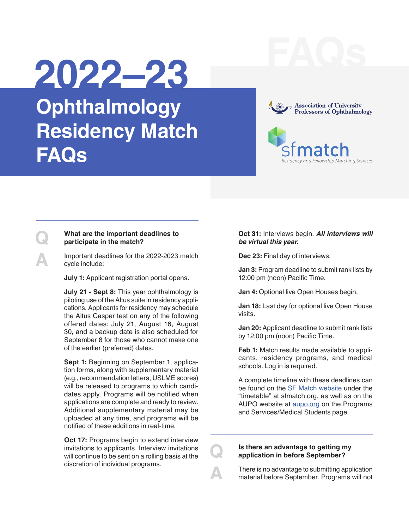# **FAQs 2022–23**

**Ophthalmology Residency Match FAQs**





#### **Q What are the important deadlines to participate in the match?**

**A** Important deadlines for the 2022-2023 match cycle include:

 **July 1:** Applicant registration portal opens.

 **July 21 - Sept 8:** This year ophthalmology is piloting use of the Altus suite in residency applications. Applicants for residency may schedule the Altus Casper test on any of the following offered dates: July 21, August 16, August 30, and a backup date is also scheduled for September 8 for those who cannot make one of the earlier (preferred) dates.

 **Sept 1:** Beginning on September 1, application forms, along with supplementary material (e.g., recommendation letters, USLME scores) will be released to programs to which candidates apply. Programs will be notified when applications are complete and ready to review. Additional supplementary material may be uploaded at any time, and programs will be notified of these additions in real-time.

 **Oct 17:** Programs begin to extend interview invitations to applicants. Interview invitations will continue to be sent on a rolling basis at the discretion of individual programs.

#### **Oct 31:** Interviews begin. **All interviews will be virtual this year.**

 **Dec 23:** Final day of interviews.

 **Jan 3:** Program deadline to submit rank lists by 12:00 pm (noon) Pacific Time.

**Jan 4: Optional live Open Houses begin.** 

 **Jan 18:** Last day for optional live Open House visits.

 **Jan 20:** Applicant deadline to submit rank lists by 12:00 pm (noon) Pacific Time.

**Feb 1:** Match results made available to applicants, residency programs, and medical schools. Log in is required.

 A complete timeline with these deadlines can be found on the [SF Match website](https://sfmatch.org/) under the "timetable" at sfmatch.org, as well as on the AUPO website at [aupo.org](https://aupo.org/sites/default/files/2022-05/Residency%20Match%20Timeline%202022-2023.pdf) on the Programs and Services/Medical Students page.

# **Q Is there an advantage to getting my application in before September?**

**A BE There is no advantage to submitting application**<br>
material before September. Programs will not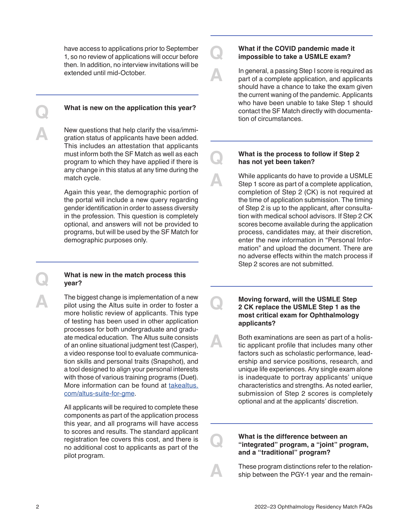have access to applications prior to September 1, so no review of applications will occur before then. In addition, no interview invitations will be extended until mid-October.

**Q What is new on the application this year?**

New questions that help clarify the visa/immigration status of applicants have been added.<br>This includes an attentation that applicants This includes an attestation that applicants must inform both the SF Match as well as each program to which they have applied if there is any change in this status at any time during the match cycle.

> Again this year, the demographic portion of the portal will include a new query regarding gender identification in order to assess diversity in the profession. This question is completely optional, and answers will not be provided to programs, but will be used by the SF Match for demographic purposes only.

#### **Q What is new in the match process this year?**

The biggest change is implementation of a new<br>pilot using the Altus suite in order to foster a<br>more bolistic roview of applicants. This type more holistic review of applicants. This type of testing has been used in other application processes for both undergraduate and graduate medical education. The Altus suite consists of an online situational judgment test (Casper), a video response tool to evaluate communication skills and personal traits (Snapshot), and a tool designed to align your personal interests with those of various training programs (Duet). More information can be found at [takealtus.](https://takealtus.com/altus-suite-for-gme/) [com/altus-suite-for-gme](https://takealtus.com/altus-suite-for-gme/).

> All applicants will be required to complete these components as part of the application process this year, and all programs will have access to scores and results. The standard applicant registration fee covers this cost, and there is no additional cost to applicants as part of the pilot program.

# **Q What if the COVID pandemic made it impossible to take a USMLE exam?**

**A In general, a passing Step I score is required as<br>
part of a complete application, and applicants<br>
should be ve a shapes to take the exam given** should have a chance to take the exam given the current waning of the pandemic. Applicants who have been unable to take Step 1 should contact the SF Match directly with documentation of circumstances.

#### **Q What is the process to follow if Step 2 has not yet been taken?**

While applicants do have to provide a USMLE<br>
Step 1 score as part of a complete application,<br>
completion of Step 2 (CK) is not required at completion of Step 2 (CK) is not required at the time of application submission. The timing of Step 2 is up to the applicant, after consultation with medical school advisors. If Step 2 CK scores become available during the application process, candidates may, at their discretion, enter the new information in "Personal Information" and upload the document. There are no adverse effects within the match process if Step 2 scores are not submitted.

**COMOUS MOVING forward, will the USMLE Step<br>
2 CK replace the USMLE Step 1 as the<br>
most critical exam for Ophthalmology most critical exam for Ophthalmology applicants?** 

**A** Both examinations are seen as part of a holistic applicant profile that includes many other<br>factors such as scholarie performance load factors such as scholastic performance, leadership and service positions, research, and unique life experiences. Any single exam alone is inadequate to portray applicants' unique characteristics and strengths. As noted earlier, submission of Step 2 scores is completely optional and at the applicants' discretion.

### **Q What is the difference between an <br>
"integrated" program, a "joint" program,<br>
and a "traditional" program? and a "traditional" program?**

**A** These program distinctions refer to the relationship between the PGY-1 year and the remain-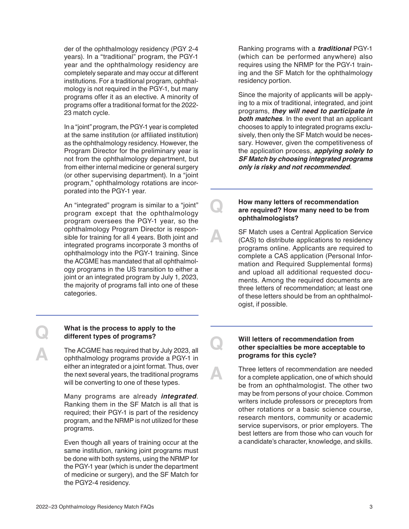der of the ophthalmology residency (PGY 2-4 years). In a "traditional" program, the PGY-1 year and the ophthalmology residency are completely separate and may occur at different institutions. For a traditional program, ophthalmology is not required in the PGY-1, but many programs offer it as an elective. A minority of programs offer a traditional format for the 2022- 23 match cycle.

In a "joint" program, the PGY-1 year is completed at the same institution (or affiliated institution) as the ophthalmology residency. However, the Program Director for the preliminary year is not from the ophthalmology department, but from either internal medicine or general surgery (or other supervising department). In a "joint program," ophthalmology rotations are incorporated into the PGY-1 year.

An "integrated" program is similar to a "joint" program except that the ophthalmology program oversees the PGY-1 year, so the ophthalmology Program Director is responsible for training for all 4 years. Both joint and integrated programs incorporate 3 months of ophthalmology into the PGY-1 training. Since the ACGME has mandated that all ophthalmology programs in the US transition to either a joint or an integrated program by July 1, 2023, the majority of programs fall into one of these categories.

Ranking programs with a **traditional** PGY-1 (which can be performed anywhere) also requires using the NRMP for the PGY-1 training and the SF Match for the ophthalmology residency portion.

Since the majority of applicants will be applying to a mix of traditional, integrated, and joint programs, **they will need to participate in both matches**. In the event that an applicant chooses to apply to integrated programs exclusively, then only the SF Match would be necessary. However, given the competitiveness of the application process, **applying solely to SF Match by choosing integrated programs only is risky and not recommended**.

## **Q How many letters of recommendation**<br>
are required? How many need to be from<br>
ophthalmologists? **ophthalmologists?**

**A SF Match uses a Central Application Service (CAS) to distribute applications to residency<br>
programs online Applicants are required to** programs online. Applicants are required to complete a CAS application (Personal Information and Required Supplemental forms) and upload all additional requested documents. Among the required documents are three letters of recommendation; at least one of these letters should be from an ophthalmologist, if possible.

# **Q What is the process to apply to the different types of programs?**

The ACGME has required that by July 2023, all<br>
ophthalmology programs provide a PGY-1 in<br>
oither an integrated or a joint format. Thus, over either an integrated or a joint format. Thus, over the next several years, the traditional programs will be converting to one of these types.

> Many programs are already **integrated**. Ranking them in the SF Match is all that is required; their PGY-1 is part of the residency program, and the NRMP is not utilized for these programs.

> Even though all years of training occur at the same institution, ranking joint programs must be done with both systems, using the NRMP for the PGY-1 year (which is under the department of medicine or surgery), and the SF Match for the PGY2-4 residency.

### **Q Will letters of recommendation from <br>
other specialties be more acceptable to**<br> **order the ovelon programs for this cycle?**

Three letters of recommendation are needed<br>for a complete application, one of which should<br>be from an ephthalmologist. The other two be from an ophthalmologist. The other two may be from persons of your choice. Common writers include professors or preceptors from other rotations or a basic science course, research mentors, community or academic service supervisors, or prior employers. The best letters are from those who can vouch for a candidate's character, knowledge, and skills.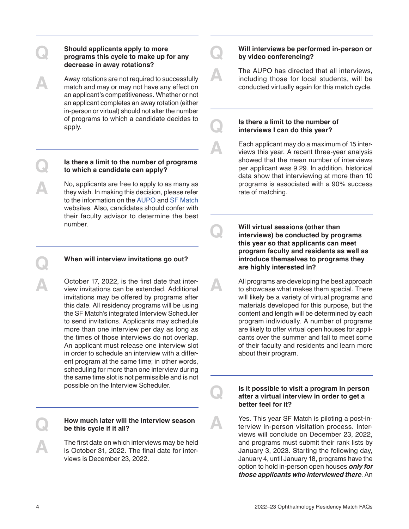### **Q Should applicants apply to more**<br>
programs this cycle to make up for any<br>
decrease in away rotations? **decrease in away rotations?**

Away rotations are not required to successfully<br>
match and may or may not have any effect on<br>
an applicant's competitiveness. Whether or not an applicant's competitiveness. Whether or not an applicant completes an away rotation (either in-person or virtual) should not alter the number of programs to which a candidate decides to apply.

#### **Q Is there a limit to the number of programs to which a candidate can apply?**

No, applicants are free to apply to as many as<br>they wish. In making this decision, please refer<br>to the information on the AUPO and SE Match to the information on the [AUPO](https://aupo.org/programs-services/medical-students) and [SF Match](https://sfmatch.org/)  websites. Also, candidates should confer with their faculty advisor to determine the best number.

#### **Q When will interview invitations go out?**

**A** October 17, 2022, is the first date that inter-<br>view invitations can be extended. Additional<br>invitations may be offered by programs after invitations may be offered by programs after this date. All residency programs will be using the SF Match's integrated Interview Scheduler to send invitations. Applicants may schedule more than one interview per day as long as the times of those interviews do not overlap. An applicant must release one interview slot in order to schedule an interview with a different program at the same time; in other words, scheduling for more than one interview during the same time slot is not permissible and is not possible on the Interview Scheduler.

#### **Q How much later will the interview season be this cycle if it all?**

The first date on which interviews may be held<br>
is October 31, 2022. The final date for inter-<br>
views is December 23, 2022 views is December 23, 2022.

**Q Will interviews be performed in-person or by video conferencing?** 

The AUPO has directed that all interviews,<br>
including those for local students, will be<br>
conducted virtually again for this match ovele conducted virtually again for this match cycle.

# **Q Is there a limit to the number of interviews I can do this year?**

Each applicant may do a maximum of 15 inter-<br>views this year. A recent three-year analysis<br>showed that the mean number of interviews showed that the mean number of interviews per applicant was 9.29. In addition, historical data show that interviewing at more than 10 programs is associated with a 90% success rate of matching.

**Q Will virtual sessions (other than<br>
interviews) be conducted by programs<br>
this year so that applicants can meet this year so that applicants can meet program faculty and residents as well as introduce themselves to programs they are highly interested in?**

> **A** All programs are developing the best approach to showcase what makes them special. There will likely be a variety of virtual programs and materials developed for this purpose, but the content and length will be determined by each program individually. A number of programs are likely to offer virtual open houses for applicants over the summer and fall to meet some of their faculty and residents and learn more about their program.

# **Q Is it possible to visit a program in person after a virtual interview in order to get a better feel for it?**

**A** Yes. This year SF Match is piloting a post-in-<br>terview in-person visitation process. Inter-<br>views will conclude on December 23, 2022 views will conclude on December 23, 2022, and programs must submit their rank lists by January 3, 2023. Starting the following day, January 4, until January 18, programs have the option to hold in-person open houses **only for those applicants who interviewed there**. An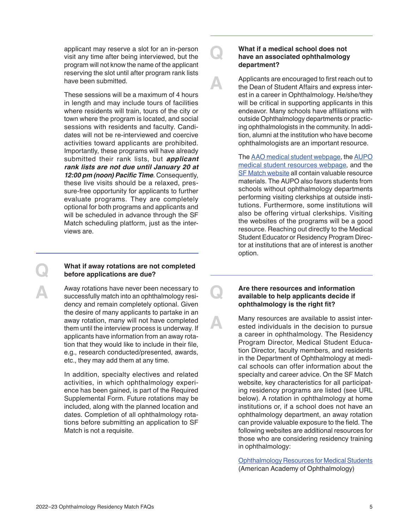applicant may reserve a slot for an in-person visit any time after being interviewed, but the program will not know the name of the applicant reserving the slot until after program rank lists have been submitted.

These sessions will be a maximum of 4 hours in length and may include tours of facilities where residents will train, tours of the city or town where the program is located, and social sessions with residents and faculty. Candidates will not be re-interviewed and coercive activities toward applicants are prohibited. Importantly, these programs will have already submitted their rank lists, but **applicant rank lists are not due until January 20 at 12:00 pm (noon) Pacific Time**. Consequently, these live visits should be a relaxed, pressure-free opportunity for applicants to further evaluate programs. They are completely optional for both programs and applicants and will be scheduled in advance through the SF Match scheduling platform, just as the interviews are.

#### **Q What if away rotations are not completed before applications are due?**

Away rotations have never been necessary to<br>successfully match into an ophthalmology resi-<br>denoy and remain completely optional. Given dency and remain completely optional. Given the desire of many applicants to partake in an away rotation, many will not have completed them until the interview process is underway. If applicants have information from an away rotation that they would like to include in their file, e.g., research conducted/presented, awards, etc., they may add them at any time.

> In addition, specialty electives and related activities, in which ophthalmology experience has been gained, is part of the Required Supplemental Form. Future rotations may be included, along with the planned location and dates. Completion of all ophthalmology rotations before submitting an application to SF Match is not a requisite.

# **Q What if a medical school does not**<br> **have an associated ophthalmology**<br> **department? department?**

Applicants are encouraged to first reach out to<br>the Dean of Student Affairs and express inter-<br>est in a career in Ophthalmology, He/she/they est in a career in Ophthalmology. He/she/they will be critical in supporting applicants in this endeavor. Many schools have affiliations with outside Ophthalmology departments or practicing ophthalmologists in the community. In addition, alumni at the institution who have become ophthalmologists are an important resource.

> The [AAO medical student webpage,](https://www.aao.org/medical-students) the [AUPO](https://aupo.org/programs-services/medical-students) [medical student resources webpage](https://aupo.org/programs-services/medical-students), and the [SF Match website](https://sfmatch.org/) all contain valuable resource materials. The AUPO also favors students from schools without ophthalmology departments performing visiting clerkships at outside institutions. Furthermore, some institutions will also be offering virtual clerkships. Visiting the websites of the programs will be a good resource. Reaching out directly to the Medical Student Educator or Residency Program Director at institutions that are of interest is another option.

# **Q Are there resources and information<br>
available to help applicants decide if<br>
applicant fit? ophthalmology is the right fit?**

**A** Many resources are available to assist inter-<br>
ested individuals in the decision to pursue<br>
a career in ophthalmology. The Besidency a career in ophthalmology. The Residency Program Director, Medical Student Education Director, faculty members, and residents in the Department of Ophthalmology at medical schools can offer information about the specialty and career advice. On the SF Match website, key characteristics for all participating residency programs are listed (see URL below). A rotation in ophthalmology at home institutions or, if a school does not have an ophthalmology department, an away rotation can provide valuable exposure to the field. The following websites are additional resources for those who are considering residency training in ophthalmology:

> [Ophthalmology Resources for Medical Students](https://www.aao.org/medical-students) (American Academy of Ophthalmology)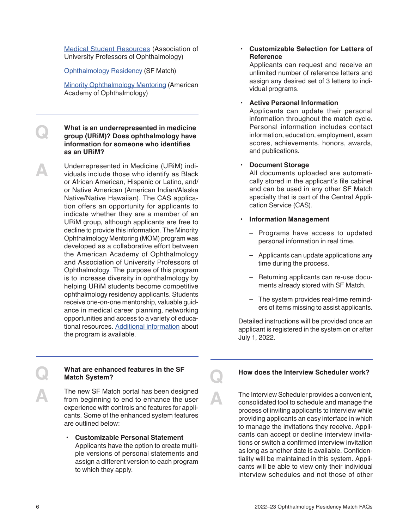[Medical Student Resources](https://aupo.org/programs-services/medical-students) (Association of University Professors of Ophthalmology)

[Ophthalmology Residency](https://sfmatch.org/) (SF Match)

[Minority Ophthalmology Mentoring](https://www.aao.org/minority-mentoring-students) (American Academy of Ophthalmology)

**COMPANDED What is an underrepresented in medicine<br>
group (URIM)? Does ophthalmology have<br>
information for someone who identifies information for someone who identifies as an URiM?** 

**A** Underrepresented in Medicine (URiM) indi-<br>viduals include those who identify as Black<br>or African American Hispanic or Latino, and/ or African American, Hispanic or Latino, and/ or Native American (American Indian/Alaska Native/Native Hawaiian). The CAS application offers an opportunity for applicants to indicate whether they are a member of an URiM group, although applicants are free to decline to provide this information. The Minority Ophthalmology Mentoring (MOM) program was developed as a collaborative effort between the American Academy of Ophthalmology and Association of University Professors of Ophthalmology. The purpose of this program is to increase diversity in ophthalmology by helping URiM students become competitive ophthalmology residency applicants. Students receive one-on-one mentorship, valuable guidance in medical career planning, networking opportunities and access to a variety of educational resources. [Additional information](https://www.aao.org/minority-mentoring-students) about the program is available.

#### **• Customizable Selection for Letters of Reference**

Applicants can request and receive an unlimited number of reference letters and assign any desired set of 3 letters to individual programs.

#### **• Active Personal Information**

Applicants can update their personal information throughout the match cycle. Personal information includes contact information, education, employment, exam scores, achievements, honors, awards, and publications.

#### **• Document Storage**

All documents uploaded are automatically stored in the applicant's file cabinet and can be used in any other SF Match specialty that is part of the Central Application Service (CAS).

- **• Information Management**
	- Programs have access to updated personal information in real time.
	- Applicants can update applications any time during the process.
	- Returning applicants can re-use documents already stored with SF Match.
	- The system provides real-time reminders of items missing to assist applicants.

Detailed instructions will be provided once an applicant is registered in the system on or after July 1, 2022.

#### **Q What are enhanced features in the SF Match System?**

The new SF Match portal has been designed<br>
from beginning to end to enhance the user<br>
experience with controls and features for appliexperience with controls and features for applicants. Some of the enhanced system features are outlined below:

> **• Customizable Personal Statement**  Applicants have the option to create multiple versions of personal statements and assign a different version to each program to which they apply.

#### **Q How does the Interview Scheduler work?**

The Interview Scheduler provides a convenient,<br>
consolidated tool to schedule and manage the<br>
process of inviting applicants to interview while process of inviting applicants to interview while providing applicants an easy interface in which to manage the invitations they receive. Applicants can accept or decline interview invitations or switch a confirmed interview invitation as long as another date is available. Confidentiality will be maintained in this system. Applicants will be able to view only their individual interview schedules and not those of other